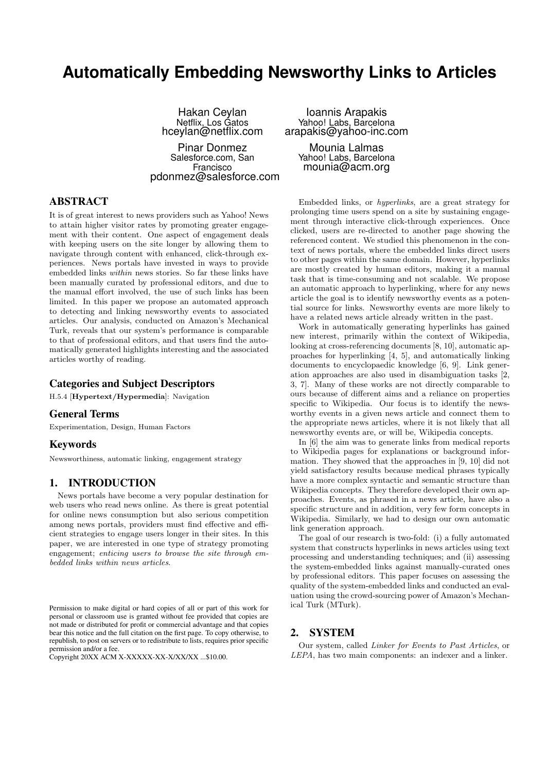# **Automatically Embedding Newsworthy Links to Articles**

Hakan Ceylan Netflix, Los Gatos hceylan@netflix.com Pinar Donmez

Salesforce.com, San Francisco pdonmez@salesforce.com

Ioannis Arapakis Yahoo! Labs, Barcelona arapakis@yahoo-inc.com

Mounia Lalmas Yahoo! Labs, Barcelona mounia@acm.org

# ABSTRACT

It is of great interest to news providers such as Yahoo! News to attain higher visitor rates by promoting greater engagement with their content. One aspect of engagement deals with keeping users on the site longer by allowing them to navigate through content with enhanced, click-through experiences. News portals have invested in ways to provide embedded links within news stories. So far these links have been manually curated by professional editors, and due to the manual effort involved, the use of such links has been limited. In this paper we propose an automated approach to detecting and linking newsworthy events to associated articles. Our analysis, conducted on Amazon's Mechanical Turk, reveals that our system's performance is comparable to that of professional editors, and that users find the automatically generated highlights interesting and the associated articles worthy of reading.

## Categories and Subject Descriptors

H.5.4 [Hypertext/Hypermedia]: Navigation

## General Terms

Experimentation, Design, Human Factors

## Keywords

Newsworthiness, automatic linking, engagement strategy

# 1. INTRODUCTION

News portals have become a very popular destination for web users who read news online. As there is great potential for online news consumption but also serious competition among news portals, providers must find effective and efficient strategies to engage users longer in their sites. In this paper, we are interested in one type of strategy promoting engagement; enticing users to browse the site through embedded links within news articles.

Copyright 20XX ACM X-XXXXX-XX-X/XX/XX ...\$10.00.

Embedded links, or hyperlinks, are a great strategy for prolonging time users spend on a site by sustaining engagement through interactive click-through experiences. Once clicked, users are re-directed to another page showing the referenced content. We studied this phenomenon in the context of news portals, where the embedded links direct users to other pages within the same domain. However, hyperlinks are mostly created by human editors, making it a manual task that is time-consuming and not scalable. We propose an automatic approach to hyperlinking, where for any news article the goal is to identify newsworthy events as a potential source for links. Newsworthy events are more likely to have a related news article already written in the past.

Work in automatically generating hyperlinks has gained new interest, primarily within the context of Wikipedia, looking at cross-referencing documents [8, 10], automatic approaches for hyperlinking [4, 5], and automatically linking documents to encyclopaedic knowledge [6, 9]. Link generation approaches are also used in disambiguation tasks [2, 3, 7]. Many of these works are not directly comparable to ours because of different aims and a reliance on properties specific to Wikipedia. Our focus is to identify the newsworthy events in a given news article and connect them to the appropriate news articles, where it is not likely that all newsworthy events are, or will be, Wikipedia concepts.

In [6] the aim was to generate links from medical reports to Wikipedia pages for explanations or background information. They showed that the approaches in [9, 10] did not yield satisfactory results because medical phrases typically have a more complex syntactic and semantic structure than Wikipedia concepts. They therefore developed their own approaches. Events, as phrased in a news article, have also a specific structure and in addition, very few form concepts in Wikipedia. Similarly, we had to design our own automatic link generation approach.

The goal of our research is two-fold: (i) a fully automated system that constructs hyperlinks in news articles using text processing and understanding techniques; and (ii) assessing the system-embedded links against manually-curated ones by professional editors. This paper focuses on assessing the quality of the system-embedded links and conducted an evaluation using the crowd-sourcing power of Amazon's Mechanical Turk (MTurk).

# 2. SYSTEM

Our system, called Linker for Events to Past Articles, or LEPA, has two main components: an indexer and a linker.

Permission to make digital or hard copies of all or part of this work for personal or classroom use is granted without fee provided that copies are not made or distributed for profit or commercial advantage and that copies bear this notice and the full citation on the first page. To copy otherwise, to republish, to post on servers or to redistribute to lists, requires prior specific permission and/or a fee.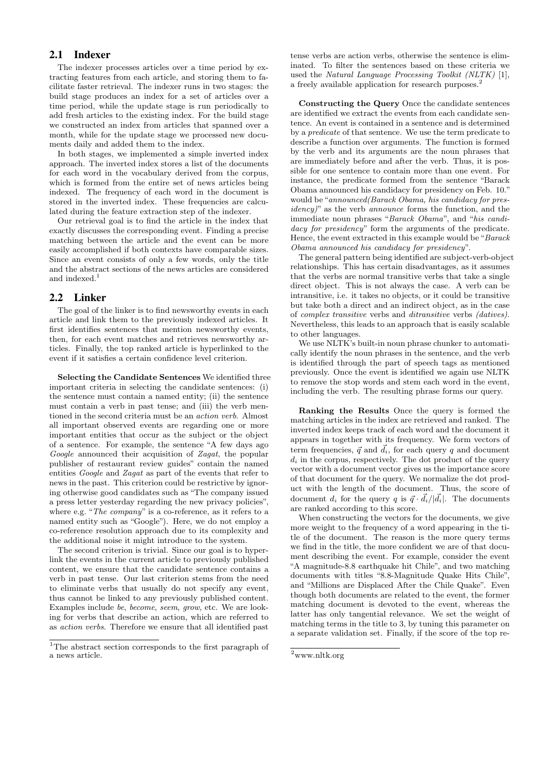# 2.1 Indexer

The indexer processes articles over a time period by extracting features from each article, and storing them to facilitate faster retrieval. The indexer runs in two stages: the build stage produces an index for a set of articles over a time period, while the update stage is run periodically to add fresh articles to the existing index. For the build stage we constructed an index from articles that spanned over a month, while for the update stage we processed new documents daily and added them to the index.

In both stages, we implemented a simple inverted index approach. The inverted index stores a list of the documents for each word in the vocabulary derived from the corpus, which is formed from the entire set of news articles being indexed. The frequency of each word in the document is stored in the inverted index. These frequencies are calculated during the feature extraction step of the indexer.

Our retrieval goal is to find the article in the index that exactly discusses the corresponding event. Finding a precise matching between the article and the event can be more easily accomplished if both contexts have comparable sizes. Since an event consists of only a few words, only the title and the abstract sections of the news articles are considered and indexed.<sup>1</sup>

## 2.2 Linker

The goal of the linker is to find newsworthy events in each article and link them to the previously indexed articles. It first identifies sentences that mention newsworthy events, then, for each event matches and retrieves newsworthy articles. Finally, the top ranked article is hyperlinked to the event if it satisfies a certain confidence level criterion.

Selecting the Candidate Sentences We identified three important criteria in selecting the candidate sentences: (i) the sentence must contain a named entity; (ii) the sentence must contain a verb in past tense; and (iii) the verb mentioned in the second criteria must be an action verb. Almost all important observed events are regarding one or more important entities that occur as the subject or the object of a sentence. For example, the sentence "A few days ago Google announced their acquisition of Zagat, the popular publisher of restaurant review guides" contain the named entities Google and Zagat as part of the events that refer to news in the past. This criterion could be restrictive by ignoring otherwise good candidates such as "The company issued a press letter yesterday regarding the new privacy policies", where e.g. "The company" is a co-reference, as it refers to a named entity such as "Google"). Here, we do not employ a co-reference resolution approach due to its complexity and the additional noise it might introduce to the system.

The second criterion is trivial. Since our goal is to hyperlink the events in the current article to previously published content, we ensure that the candidate sentence contains a verb in past tense. Our last criterion stems from the need to eliminate verbs that usually do not specify any event, thus cannot be linked to any previously published content. Examples include be, become, seem, grow, etc. We are looking for verbs that describe an action, which are referred to as action verbs. Therefore we ensure that all identified past

tense verbs are action verbs, otherwise the sentence is eliminated. To filter the sentences based on these criteria we used the Natural Language Processing Toolkit (NLTK) [1], a freely available application for research purposes.<sup>2</sup>

Constructing the Query Once the candidate sentences are identified we extract the events from each candidate sentence. An event is contained in a sentence and is determined by a predicate of that sentence. We use the term predicate to describe a function over arguments. The function is formed by the verb and its arguments are the noun phrases that are immediately before and after the verb. Thus, it is possible for one sentence to contain more than one event. For instance, the predicate formed from the sentence "Barack Obama announced his candidacy for presidency on Feb. 10." would be "announced(Barack Obama, his candidacy for presidency)" as the verb announce forms the function, and the immediate noun phrases "Barack Obama", and "his candidacy for presidency" form the arguments of the predicate. Hence, the event extracted in this example would be "Barack Obama announced his candidacy for presidency".

The general pattern being identified are subject-verb-object relationships. This has certain disadvantages, as it assumes that the verbs are normal transitive verbs that take a single direct object. This is not always the case. A verb can be intransitive, i.e. it takes no objects, or it could be transitive but take both a direct and an indirect object, as in the case of complex transitive verbs and ditransitive verbs (datives). Nevertheless, this leads to an approach that is easily scalable to other languages.

We use NLTK's built-in noun phrase chunker to automatically identify the noun phrases in the sentence, and the verb is identified through the part of speech tags as mentioned previously. Once the event is identified we again use NLTK to remove the stop words and stem each word in the event, including the verb. The resulting phrase forms our query.

Ranking the Results Once the query is formed the matching articles in the index are retrieved and ranked. The inverted index keeps track of each word and the document it appears in together with its frequency. We form vectors of term frequencies,  $\vec{q}$  and  $\vec{d}_i$ , for each query q and document  $d_i$  in the corpus, respectively. The dot product of the query vector with a document vector gives us the importance score of that document for the query. We normalize the dot product with the length of the document. Thus, the score of document  $d_i$  for the query q is  $\vec{q} \cdot \vec{d}_i/|\vec{d}_i|$ . The documents are ranked according to this score.

When constructing the vectors for the documents, we give more weight to the frequency of a word appearing in the title of the document. The reason is the more query terms we find in the title, the more confident we are of that document describing the event. For example, consider the event "A magnitude-8.8 earthquake hit Chile", and two matching documents with titles "8.8-Magnitude Quake Hits Chile", and "Millions are Displaced After the Chile Quake". Even though both documents are related to the event, the former matching document is devoted to the event, whereas the latter has only tangential relevance. We set the weight of matching terms in the title to 3, by tuning this parameter on a separate validation set. Finally, if the score of the top re-

<sup>&</sup>lt;sup>1</sup>The abstract section corresponds to the first paragraph of a news article.

 $2$ www.nltk.org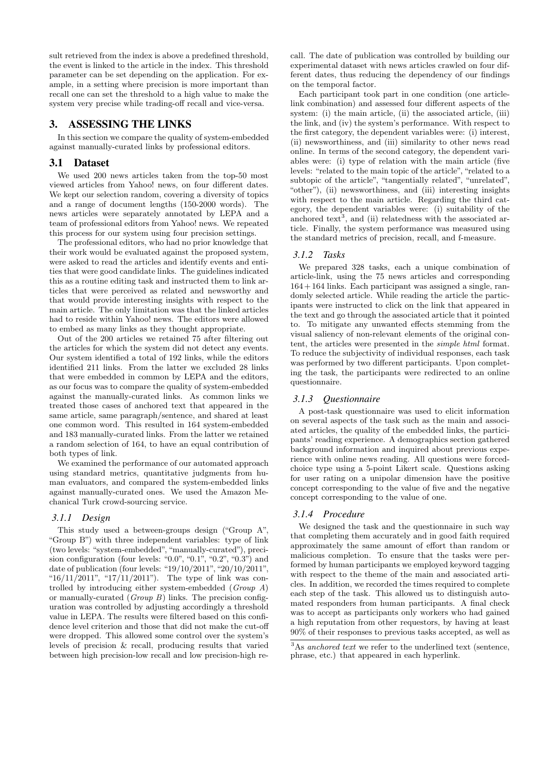sult retrieved from the index is above a predefined threshold, the event is linked to the article in the index. This threshold parameter can be set depending on the application. For example, in a setting where precision is more important than recall one can set the threshold to a high value to make the system very precise while trading-off recall and vice-versa.

## 3. ASSESSING THE LINKS

In this section we compare the quality of system-embedded against manually-curated links by professional editors.

#### 3.1 Dataset

We used 200 news articles taken from the top-50 most viewed articles from Yahoo! news, on four different dates. We kept our selection random, covering a diversity of topics and a range of document lengths (150-2000 words). The news articles were separately annotated by LEPA and a team of professional editors from Yahoo! news. We repeated this process for our system using four precision settings.

The professional editors, who had no prior knowledge that their work would be evaluated against the proposed system, were asked to read the articles and identify events and entities that were good candidate links. The guidelines indicated this as a routine editing task and instructed them to link articles that were perceived as related and newsworthy and that would provide interesting insights with respect to the main article. The only limitation was that the linked articles had to reside within Yahoo! news. The editors were allowed to embed as many links as they thought appropriate.

Out of the 200 articles we retained 75 after filtering out the articles for which the system did not detect any events. Our system identified a total of 192 links, while the editors identified 211 links. From the latter we excluded 28 links that were embedded in common by LEPA and the editors, as our focus was to compare the quality of system-embedded against the manually-curated links. As common links we treated those cases of anchored text that appeared in the same article, same paragraph/sentence, and shared at least one common word. This resulted in 164 system-embedded and 183 manually-curated links. From the latter we retained a random selection of 164, to have an equal contribution of both types of link.

We examined the performance of our automated approach using standard metrics, quantitative judgments from human evaluators, and compared the system-embedded links against manually-curated ones. We used the Amazon Mechanical Turk crowd-sourcing service.

#### *3.1.1 Design*

This study used a between-groups design ("Group A", "Group B") with three independent variables: type of link (two levels: "system-embedded", "manually-curated"), precision configuration (four levels: " $0.0$ ", " $0.1$ ", " $0.2$ ", " $0.3$ ") and date of publication (four levels: "19/10/2011", "20/10/2011", "16/11/2011", "17/11/2011"). The type of link was controlled by introducing either system-embedded (Group A) or manually-curated (Group B) links. The precision configuration was controlled by adjusting accordingly a threshold value in LEPA. The results were filtered based on this confidence level criterion and those that did not make the cut-off were dropped. This allowed some control over the system's levels of precision & recall, producing results that varied between high precision-low recall and low precision-high recall. The date of publication was controlled by building our experimental dataset with news articles crawled on four different dates, thus reducing the dependency of our findings on the temporal factor.

Each participant took part in one condition (one articlelink combination) and assessed four different aspects of the system: (i) the main article, (ii) the associated article, (iii) the link, and (iv) the system's performance. With respect to the first category, the dependent variables were: (i) interest, (ii) newsworthiness, and (iii) similarity to other news read online. In terms of the second category, the dependent variables were: (i) type of relation with the main article (five levels: "related to the main topic of the article", "related to a subtopic of the article", "tangentially related", "unrelated", "other"), (ii) newsworthiness, and (iii) interesting insights with respect to the main article. Regarding the third category, the dependent variables were: (i) suitability of the anchored text<sup>3</sup>, and (ii) relatedness with the associated article. Finally, the system performance was measured using the standard metrics of precision, recall, and f-measure.

## *3.1.2 Tasks*

We prepared 328 tasks, each a unique combination of article-link, using the 75 news articles and corresponding  $164 + 164$  links. Each participant was assigned a single, randomly selected article. While reading the article the participants were instructed to click on the link that appeared in the text and go through the associated article that it pointed to. To mitigate any unwanted effects stemming from the visual saliency of non-relevant elements of the original content, the articles were presented in the simple html format. To reduce the subjectivity of individual responses, each task was performed by two different participants. Upon completing the task, the participants were redirected to an online questionnaire.

#### *3.1.3 Questionnaire*

A post-task questionnaire was used to elicit information on several aspects of the task such as the main and associated articles, the quality of the embedded links, the participants' reading experience. A demographics section gathered background information and inquired about previous experience with online news reading. All questions were forcedchoice type using a 5-point Likert scale. Questions asking for user rating on a unipolar dimension have the positive concept corresponding to the value of five and the negative concept corresponding to the value of one.

#### *3.1.4 Procedure*

We designed the task and the questionnaire in such way that completing them accurately and in good faith required approximately the same amount of effort than random or malicious completion. To ensure that the tasks were performed by human participants we employed keyword tagging with respect to the theme of the main and associated articles. In addition, we recorded the times required to complete each step of the task. This allowed us to distinguish automated responders from human participants. A final check was to accept as participants only workers who had gained a high reputation from other requestors, by having at least 90% of their responses to previous tasks accepted, as well as

 $3$ As anchored text we refer to the underlined text (sentence, phrase, etc.) that appeared in each hyperlink.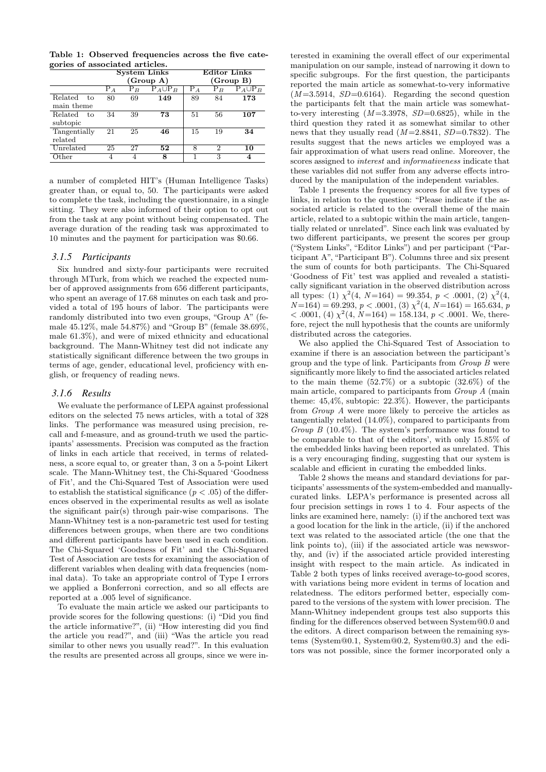Table 1: Observed frequencies across the five categories of associated articles.

|               | <b>System Links</b> |                  |                | <b>Editor Links</b> |    |                |  |
|---------------|---------------------|------------------|----------------|---------------------|----|----------------|--|
|               |                     |                  | (Group A)      | (Group B)           |    |                |  |
|               | $P_A$               | $\mathrm{P}_{B}$ | $P_A \cup P_B$ | $P_A$               | Рg | $P_A \cup P_B$ |  |
| Related<br>to | 80                  | 69               | 149            | 89                  | 84 | 173            |  |
| main theme    |                     |                  |                |                     |    |                |  |
| Related<br>to | 34                  | 39               | 73             | 51                  | 56 | 107            |  |
| subtopic      |                     |                  |                |                     |    |                |  |
| Tangentially  | 21                  | 25               | 46             | 15                  | 19 | 34             |  |
| related       |                     |                  |                |                     |    |                |  |
| Unrelated     | 25                  | 27               | 52             | 8                   | 2  | 10             |  |
| Other         |                     |                  | 8              |                     | 3  | 4              |  |

a number of completed HIT's (Human Intelligence Tasks) greater than, or equal to, 50. The participants were asked to complete the task, including the questionnaire, in a single sitting. They were also informed of their option to opt out from the task at any point without being compensated. The average duration of the reading task was approximated to 10 minutes and the payment for participation was \$0.66.

#### *3.1.5 Participants*

Six hundred and sixty-four participants were recruited through MTurk, from which we reached the expected number of approved assignments from 656 different participants, who spent an average of 17.68 minutes on each task and provided a total of 195 hours of labor. The participants were randomly distributed into two even groups, "Group A" (female 45.12%, male 54.87%) and "Group B" (female 38.69%, male 61.3%), and were of mixed ethnicity and educational background. The Mann-Whitney test did not indicate any statistically significant difference between the two groups in terms of age, gender, educational level, proficiency with english, or frequency of reading news.

#### *3.1.6 Results*

We evaluate the performance of LEPA against professional editors on the selected 75 news articles, with a total of 328 links. The performance was measured using precision, recall and f-measure, and as ground-truth we used the participants' assessments. Precision was computed as the fraction of links in each article that received, in terms of relatedness, a score equal to, or greater than, 3 on a 5-point Likert scale. The Mann-Whitney test, the Chi-Squared 'Goodness of Fit', and the Chi-Squared Test of Association were used to establish the statistical significance  $(p < .05)$  of the differences observed in the experimental results as well as isolate the significant pair(s) through pair-wise comparisons. The Mann-Whitney test is a non-parametric test used for testing differences between groups, when there are two conditions and different participants have been used in each condition. The Chi-Squared 'Goodness of Fit' and the Chi-Squared Test of Association are tests for examining the association of different variables when dealing with data frequencies (nominal data). To take an appropriate control of Type I errors we applied a Bonferroni correction, and so all effects are reported at a .005 level of significance.

To evaluate the main article we asked our participants to provide scores for the following questions: (i) "Did you find the article informative?", (ii) "How interesting did you find the article you read?", and (iii) "Was the article you read similar to other news you usually read?". In this evaluation the results are presented across all groups, since we were in-

terested in examining the overall effect of our experimental manipulation on our sample, instead of narrowing it down to specific subgroups. For the first question, the participants reported the main article as somewhat-to-very informative  $(M=3.5914, SD=0.6164)$ . Regarding the second question the participants felt that the main article was somewhatto-very interesting  $(M=3.3978, SD=0.6825)$ , while in the third question they rated it as somewhat similar to other news that they usually read  $(M=2.8841, SD=0.7832)$ . The results suggest that the news articles we employed was a fair approximation of what users read online. Moreover, the scores assigned to interest and informativeness indicate that these variables did not suffer from any adverse effects introduced by the manipulation of the independent variables.

Table 1 presents the frequency scores for all five types of links, in relation to the question: "Please indicate if the associated article is related to the overall theme of the main article, related to a subtopic within the main article, tangentially related or unrelated". Since each link was evaluated by two different participants, we present the scores per group ("System Links", "Editor Links") and per participant ("Participant A", "Participant B"). Columns three and six present the sum of counts for both participants. The Chi-Squared 'Goodness of Fit' test was applied and revealed a statistically significant variation in the observed distribution across all types: (1)  $\chi^2(4, N=164) = 99.354, p < .0001, (2) \chi^2(4,$  $N=164$ ) = 69.293,  $p < .0001$ , (3)  $\chi^2(4, N=164) = 165.634, p$  $< .0001, (4) \chi^2(4, N=164) = 158.134, p < .0001$ . We, therefore, reject the null hypothesis that the counts are uniformly distributed across the categories.

We also applied the Chi-Squared Test of Association to examine if there is an association between the participant's group and the type of link. Participants from Group B were significantly more likely to find the associated articles related to the main theme (52.7%) or a subtopic (32.6%) of the main article, compared to participants from Group A (main theme:  $45,4\%$ , subtopic:  $22.3\%$ ). However, the participants from Group A were more likely to perceive the articles as tangentially related (14.0%), compared to participants from Group B  $(10.4\%)$ . The system's performance was found to be comparable to that of the editors', with only 15.85% of the embedded links having been reported as unrelated. This is a very encouraging finding, suggesting that our system is scalable and efficient in curating the embedded links.

Table 2 shows the means and standard deviations for participants' assessments of the system-embedded and manuallycurated links. LEPA's performance is presented across all four precision settings in rows 1 to 4. Four aspects of the links are examined here, namely: (i) if the anchored text was a good location for the link in the article, (ii) if the anchored text was related to the associated article (the one that the link points to), (iii) if the associated article was newsworthy, and (iv) if the associated article provided interesting insight with respect to the main article. As indicated in Table 2 both types of links received average-to-good scores, with variations being more evident in terms of location and relatedness. The editors performed better, especially compared to the versions of the system with lower precision. The Mann-Whitney independent groups test also supports this finding for the differences observed between System@0.0 and the editors. A direct comparison between the remaining systems (System@0.1, System@0.2, System@0.3) and the editors was not possible, since the former incorporated only a